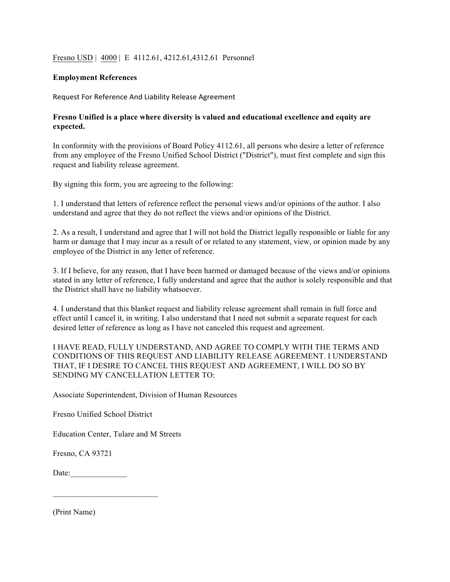## Fresno USD | 4000 | E 4112.61, 4212.61,4312.61 Personnel

## **Employment References**

Request For Reference And Liability Release Agreement

## **Fresno Unified is a place where diversity is valued and educational excellence and equity are expected.**

In conformity with the provisions of Board Policy 4112.61, all persons who desire a letter of reference from any employee of the Fresno Unified School District ("District"), must first complete and sign this request and liability release agreement.

By signing this form, you are agreeing to the following:

1. I understand that letters of reference reflect the personal views and/or opinions of the author. I also understand and agree that they do not reflect the views and/or opinions of the District.

2. As a result, I understand and agree that I will not hold the District legally responsible or liable for any harm or damage that I may incur as a result of or related to any statement, view, or opinion made by any employee of the District in any letter of reference.

3. If I believe, for any reason, that I have been harmed or damaged because of the views and/or opinions stated in any letter of reference, I fully understand and agree that the author is solely responsible and that the District shall have no liability whatsoever.

4. I understand that this blanket request and liability release agreement shall remain in full force and effect until I cancel it, in writing. I also understand that I need not submit a separate request for each desired letter of reference as long as I have not canceled this request and agreement.

I HAVE READ, FULLY UNDERSTAND, AND AGREE TO COMPLY WITH THE TERMS AND CONDITIONS OF THIS REQUEST AND LIABILITY RELEASE AGREEMENT. I UNDERSTAND THAT, IF I DESIRE TO CANCEL THIS REQUEST AND AGREEMENT, I WILL DO SO BY SENDING MY CANCELLATION LETTER TO:

Associate Superintendent, Division of Human Resources

Fresno Unified School District

Education Center, Tulare and M Streets

Fresno, CA 93721

Date:\_\_\_\_\_\_\_\_\_\_\_\_\_\_

(Print Name)